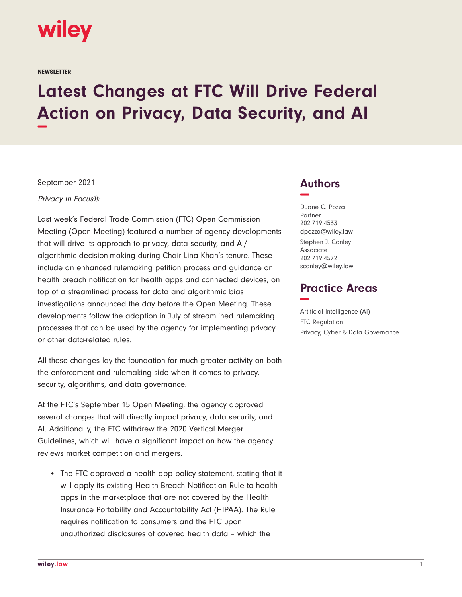

**NEWSLETTER** 

## **Latest Changes at FTC Will Drive Federal Action on Privacy, Data Security, and AI −**

September 2021

Privacy In Focus®

Last week's Federal Trade Commission (FTC) Open Commission Meeting (Open Meeting) featured a number of agency developments that will drive its approach to privacy, data security, and AI/ algorithmic decision-making during Chair Lina Khan's tenure. These include an enhanced rulemaking petition process and guidance on health breach notification for health apps and connected devices, on top of a streamlined process for data and algorithmic bias investigations announced the day before the Open Meeting. These developments follow the adoption in July of streamlined rulemaking processes that can be used by the agency for implementing privacy or other data-related rules.

All these changes lay the foundation for much greater activity on both the enforcement and rulemaking side when it comes to privacy, security, algorithms, and data governance.

At the FTC's September 15 Open Meeting, the agency approved several changes that will directly impact privacy, data security, and AI. Additionally, the FTC withdrew the 2020 Vertical Merger Guidelines, which will have a significant impact on how the agency reviews market competition and mergers.

• The FTC approved a health app policy statement, stating that it will apply its existing Health Breach Notification Rule to health apps in the marketplace that are not covered by the Health Insurance Portability and Accountability Act (HIPAA). The Rule requires notification to consumers and the FTC upon unauthorized disclosures of covered health data – which the

## **Authors −**

Duane C. Pozza Partner 202.719.4533 dpozza@wiley.law Stephen J. Conley Associate 202.719.4572 sconley@wiley.law

## **Practice Areas −**

Artificial Intelligence (AI) FTC Regulation Privacy, Cyber & Data Governance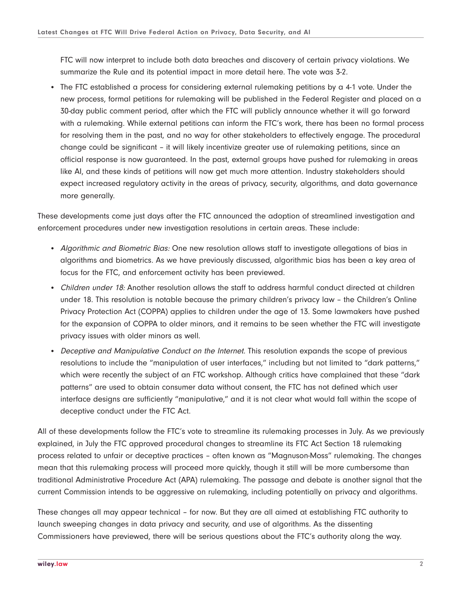FTC will now interpret to include both data breaches and discovery of certain privacy violations. We summarize the Rule and its potential impact in more detail here. The vote was 3-2.

• The FTC established a process for considering external rulemaking petitions by a 4-1 vote. Under the new process, formal petitions for rulemaking will be published in the Federal Register and placed on a 30-day public comment period, after which the FTC will publicly announce whether it will go forward with a rulemaking. While external petitions can inform the FTC's work, there has been no formal process for resolving them in the past, and no way for other stakeholders to effectively engage. The procedural change could be significant – it will likely incentivize greater use of rulemaking petitions, since an official response is now guaranteed. In the past, external groups have pushed for rulemaking in areas like AI, and these kinds of petitions will now get much more attention. Industry stakeholders should expect increased regulatory activity in the areas of privacy, security, algorithms, and data governance more generally.

These developments come just days after the FTC announced the adoption of streamlined investigation and enforcement procedures under new investigation resolutions in certain areas. These include:

- Algorithmic and Biometric Bias: One new resolution allows staff to investigate allegations of bias in algorithms and biometrics. As we have previously discussed, algorithmic bias has been a key area of focus for the FTC, and enforcement activity has been previewed.
- Children under 18: Another resolution allows the staff to address harmful conduct directed at children under 18. This resolution is notable because the primary children's privacy law – the Children's Online Privacy Protection Act (COPPA) applies to children under the age of 13. Some lawmakers have pushed for the expansion of COPPA to older minors, and it remains to be seen whether the FTC will investigate privacy issues with older minors as well.
- Deceptive and Manipulative Conduct on the Internet. This resolution expands the scope of previous resolutions to include the "manipulation of user interfaces," including but not limited to "dark patterns," which were recently the subject of an FTC workshop. Although critics have complained that these "dark patterns" are used to obtain consumer data without consent, the FTC has not defined which user interface designs are sufficiently "manipulative," and it is not clear what would fall within the scope of deceptive conduct under the FTC Act.

All of these developments follow the FTC's vote to streamline its rulemaking processes in July. As we previously explained, in July the FTC approved procedural changes to streamline its FTC Act Section 18 rulemaking process related to unfair or deceptive practices – often known as "Magnuson-Moss" rulemaking. The changes mean that this rulemaking process will proceed more quickly, though it still will be more cumbersome than traditional Administrative Procedure Act (APA) rulemaking. The passage and debate is another signal that the current Commission intends to be aggressive on rulemaking, including potentially on privacy and algorithms.

These changes all may appear technical – for now. But they are all aimed at establishing FTC authority to launch sweeping changes in data privacy and security, and use of algorithms. As the dissenting Commissioners have previewed, there will be serious questions about the FTC's authority along the way.